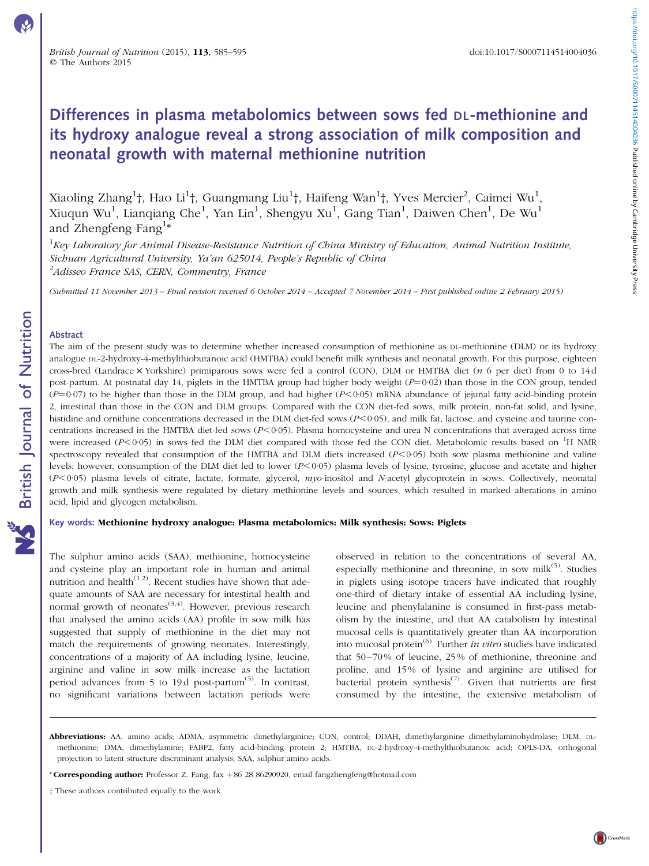# Differences in plasma metabolomics between sows fed DL-methionine and its hydroxy analogue reveal a strong association of milk composition and neonatal growth with maternal methionine nutrition

Xiaoling Zhang $^1$ †, Hao Li $^1$ †, Guangmang Liu $^1$ †, Haifeng Wan $^1$ †, Yves Mercier $^2$ , Caimei Wu $^1$ , Xiuqun Wu<sup>1</sup>, Lianqiang Che<sup>1</sup>, Yan Lin<sup>1</sup>, Shengyu Xu<sup>1</sup>, Gang Tian<sup>1</sup>, Daiwen Chen<sup>1</sup>, De Wu<sup>1</sup> and Zhengfeng Fang<sup>1\*</sup>

 $1$ Key Laboratory for Animal Disease-Resistance Nutrition of China Ministry of Education, Animal Nutrition Institute, Sichuan Agricultural University, Ya'an 625014, People's Republic of China <sup>2</sup>Adisseo France SAS, CERN, Commentry, France

(Submitted 11 November 2013 – Final revision received 6 October 2014 – Accepted 7 November 2014 – First published online 2 February 2015)

## Abstract

The aim of the present study was to determine whether increased consumption of methionine as DL-methionine (DLM) or its hydroxy analogue DL-2-hydroxy-4-methylthiobutanoic acid (HMTBA) could benefit milk synthesis and neonatal growth. For this purpose, eighteen cross-bred (Landrace  $\times$  Yorkshire) primiparous sows were fed a control (CON), DLM or HMTBA diet ( $n$  6 per diet) from 0 to 14d post-partum. At postnatal day 14, piglets in the HMTBA group had higher body weight  $(P=0.02)$  than those in the CON group, tended  $(P=0.07)$  to be higher than those in the DLM group, and had higher ( $P<0.05$ ) mRNA abundance of jejunal fatty acid-binding protein 2, intestinal than those in the CON and DLM groups. Compared with the CON diet-fed sows, milk protein, non-fat solid, and lysine, histidine and ornithine concentrations decreased in the DLM diet-fed sows (P<0.05), and milk fat, lactose, and cysteine and taurine concentrations increased in the HMTBA diet-fed sows ( $P<0.05$ ). Plasma homocysteine and urea N concentrations that averaged across time were increased  $(P<0.05)$  in sows fed the DLM diet compared with those fed the CON diet. Metabolomic results based on  ${}^{1}H$  NMR spectroscopy revealed that consumption of the HMTBA and DLM diets increased  $(P<0.05)$  both sow plasma methionine and valine levels; however, consumption of the DLM diet led to lower (P<0.05) plasma levels of lysine, tyrosine, glucose and acetate and higher  $(P<0.05)$  plasma levels of citrate, lactate, formate, glycerol, myo-inositol and N-acetyl glycoprotein in sows. Collectively, neonatal growth and milk synthesis were regulated by dietary methionine levels and sources, which resulted in marked alterations in amino acid, lipid and glycogen metabolism.

#### Key words: Methionine hydroxy analogue: Plasma metabolomics: Milk synthesis: Sows: Piglets

The sulphur amino acids (SAA), methionine, homocysteine and cysteine play an important role in human and animal nutrition and health<sup> $(1,2)$ </sup>. Recent studies have shown that adequate amounts of SAA are necessary for intestinal health and normal growth of neonates $(3,4)$ . However, previous research that analysed the amino acids (AA) profile in sow milk has suggested that supply of methionine in the diet may not match the requirements of growing neonates. Interestingly, concentrations of a majority of AA including lysine, leucine, arginine and valine in sow milk increase as the lactation period advances from 5 to 19d post-partum<sup>(5)</sup>. In contrast, no significant variations between lactation periods were observed in relation to the concentrations of several AA, especially methionine and threonine, in sow mil $k^{(5)}$ . Studies in piglets using isotope tracers have indicated that roughly one-third of dietary intake of essential AA including lysine, leucine and phenylalanine is consumed in first-pass metabolism by the intestine, and that AA catabolism by intestinal mucosal cells is quantitatively greater than AA incorporation into mucosal protein $^{(6)}$ . Further *in vitro* studies have indicated that 50–70 % of leucine, 25 % of methionine, threonine and proline, and 15 % of lysine and arginine are utilised for bacterial protein synthesis<sup>(7)</sup>. Given that nutrients are first consumed by the intestine, the extensive metabolism of

Abbreviations: AA, amino acids; ADMA, asymmetric dimethylarginine; CON, control; DDAH, dimethylarginine dimethylaminohydrolase; DLM, DLmethionine; DMA, dimethylamine; FABP2, fatty acid-binding protein 2; HMTBA, DL-2-hydroxy-4-methylthiobutanoic acid; OPLS-DA, orthogonal projection to latent structure discriminant analysis; SAA, sulphur amino acids.

<sup>\*</sup> Corresponding author: Professor Z. Fang, fax +86 28 86290920, email fangzhengfeng@hotmail.com

<sup>†</sup> These authors contributed equally to the work.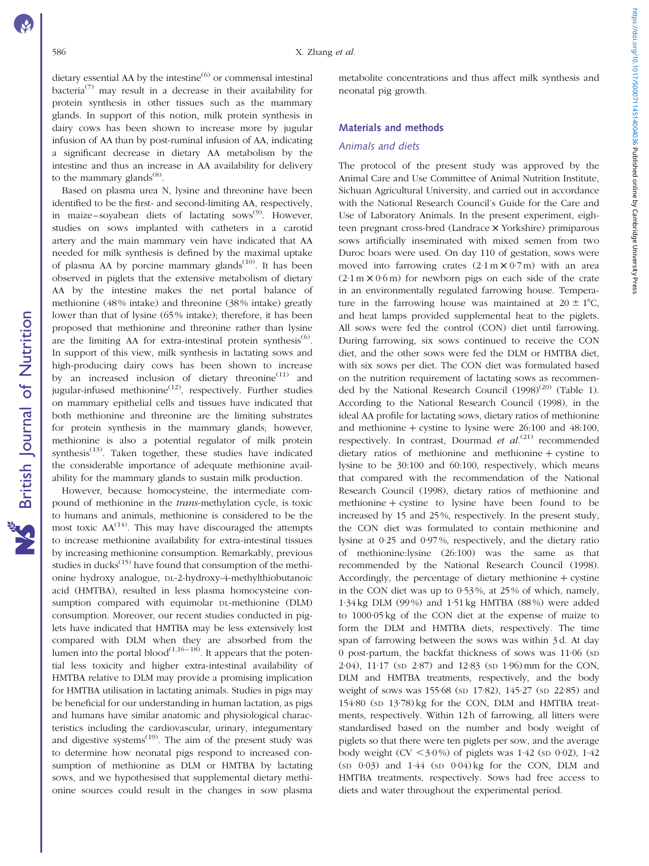https://doi.org/10.1017/S0007114514004036 Published online by Cambridge University Press https://doi.org/10.1017/S0007114514004036 Published online by Cambridge University Press

dietary essential AA by the intestine $^{(6)}$  or commensal intestinal bacteria<sup>(7)</sup> may result in a decrease in their availability for protein synthesis in other tissues such as the mammary glands. In support of this notion, milk protein synthesis in dairy cows has been shown to increase more by jugular infusion of AA than by post-ruminal infusion of AA, indicating a significant decrease in dietary AA metabolism by the intestine and thus an increase in AA availability for delivery to the mammary glands $^{(8)}$ .

Based on plasma urea N, lysine and threonine have been identified to be the first- and second-limiting AA, respectively, in maize–soyabean diets of lactating  $sows^{(9)}$ . However, studies on sows implanted with catheters in a carotid artery and the main mammary vein have indicated that AA needed for milk synthesis is defined by the maximal uptake of plasma AA by porcine mammary glands<sup> $(10)$ </sup>. It has been observed in piglets that the extensive metabolism of dietary AA by the intestine makes the net portal balance of methionine (48 % intake) and threonine (38 % intake) greatly lower than that of lysine (65 % intake); therefore, it has been proposed that methionine and threonine rather than lysine are the limiting AA for extra-intestinal protein synthesis<sup> $(6)$ </sup>. In support of this view, milk synthesis in lactating sows and high-producing dairy cows has been shown to increase by an increased inclusion of dietary threonine<sup> $(11)$ </sup> and iugular-infused methionine<sup> $(12)$ </sup>, respectively. Further studies on mammary epithelial cells and tissues have indicated that both methionine and threonine are the limiting substrates for protein synthesis in the mammary glands; however, methionine is also a potential regulator of milk protein synthesis $^{(13)}$ . Taken together, these studies have indicated the considerable importance of adequate methionine availability for the mammary glands to sustain milk production.

However, because homocysteine, the intermediate compound of methionine in the trans-methylation cycle, is toxic to humans and animals, methionine is considered to be the most toxic  $AA^{(14)}$ . This may have discouraged the attempts to increase methionine availability for extra-intestinal tissues by increasing methionine consumption. Remarkably, previous studies in ducks $<sup>(15)</sup>$  have found that consumption of the methi-</sup> onine hydroxy analogue, DL-2-hydroxy-4-methylthiobutanoic acid (HMTBA), resulted in less plasma homocysteine consumption compared with equimolar DL-methionine (DLM) consumption. Moreover, our recent studies conducted in piglets have indicated that HMTBA may be less extensively lost compared with DLM when they are absorbed from the lumen into the portal blood<sup> $(1,16-18)$ </sup>. It appears that the potential less toxicity and higher extra-intestinal availability of HMTBA relative to DLM may provide a promising implication for HMTBA utilisation in lactating animals. Studies in pigs may be beneficial for our understanding in human lactation, as pigs and humans have similar anatomic and physiological characteristics including the cardiovascular, urinary, integumentary and digestive systems<sup> $(19)$ </sup>. The aim of the present study was to determine how neonatal pigs respond to increased consumption of methionine as DLM or HMTBA by lactating sows, and we hypothesised that supplemental dietary methionine sources could result in the changes in sow plasma

metabolite concentrations and thus affect milk synthesis and neonatal pig growth.

# Materials and methods

### Animals and diets

The protocol of the present study was approved by the Animal Care and Use Committee of Animal Nutrition Institute, Sichuan Agricultural University, and carried out in accordance with the National Research Council's Guide for the Care and Use of Laboratory Animals. In the present experiment, eighteen pregnant cross-bred (Landrace  $\times$  Yorkshire) primiparous sows artificially inseminated with mixed semen from two Duroc boars were used. On day 110 of gestation, sows were moved into farrowing crates  $(2.1 \text{ m} \times 0.7 \text{ m})$  with an area  $(2.1 \text{ m} \times 0.6 \text{ m})$  for newborn pigs on each side of the crate in an environmentally regulated farrowing house. Temperature in the farrowing house was maintained at  $20 \pm 1^{\circ}C$ , and heat lamps provided supplemental heat to the piglets. All sows were fed the control (CON) diet until farrowing. During farrowing, six sows continued to receive the CON diet, and the other sows were fed the DLM or HMTBA diet, with six sows per diet. The CON diet was formulated based on the nutrition requirement of lactating sows as recommended by the National Research Council  $(1998)^{(20)}$  [\(Table 1](#page-2-0)). According to the National Research Council (1998), in the ideal AA profile for lactating sows, dietary ratios of methionine and methionine  $+$  cystine to lysine were 26:100 and 48:100, respectively. In contrast, Dourmad et  $al^{(21)}$  recommended dietary ratios of methionine and methionine  $+$  cystine to lysine to be 30:100 and 60:100, respectively, which means that compared with the recommendation of the National Research Council (1998), dietary ratios of methionine and methionine  $+$  cystine to lysine have been found to be increased by 15 and 25 %, respectively. In the present study, the CON diet was formulated to contain methionine and lysine at 0·25 and 0·97 %, respectively, and the dietary ratio of methionine:lysine (26:100) was the same as that recommended by the National Research Council (1998). Accordingly, the percentage of dietary methionine  $+$  cystine in the CON diet was up to 0·53 %, at 25 % of which, namely, 1·34 kg DLM (99 %) and 1·51 kg HMTBA (88 %) were added to 1000·05 kg of the CON diet at the expense of maize to form the DLM and HMTBA diets, respectively. The time span of farrowing between the sows was within 3 d. At day 0 post-partum, the backfat thickness of sows was 11·06 (SD 2·04), 11·17 (SD 2·87) and 12·83 (SD 1·96)mm for the CON, DLM and HMTBA treatments, respectively, and the body weight of sows was 155·68 (SD 17·82), 145·27 (SD 22·85) and 154·80 (SD 13·78) kg for the CON, DLM and HMTBA treatments, respectively. Within 12 h of farrowing, all litters were standardised based on the number and body weight of piglets so that there were ten piglets per sow, and the average body weight (CV  $\lt3.0\%$ ) of piglets was 1.42 (sp 0.02), 1.42  $(SD \t 0.03)$  and  $1.44$   $(SD \t 0.04)$  kg for the CON, DLM and HMTBA treatments, respectively. Sows had free access to diets and water throughout the experimental period.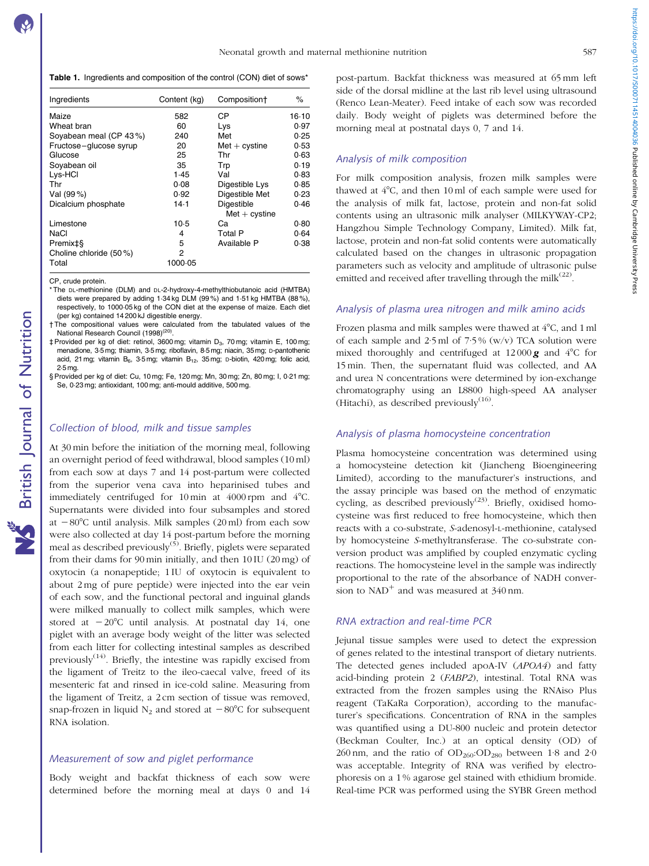<span id="page-2-0"></span>Table 1. Ingredients and composition of the control (CON) diet of sows\*

| Ingredients             | Content (kg) | Composition+     | ℅       |
|-------------------------|--------------|------------------|---------|
| Maize                   | 582          | СP               | $16-10$ |
| Wheat bran              | 60           | Lys              | 0.97    |
| Soyabean meal (CP 43%)  | 240          | Met              | 0.25    |
| Fructose-glucose syrup  | 20           | $Met + cystine$  | 0.53    |
| Glucose                 | 25           | Thr              | 0.63    |
| Soyabean oil            | 35           | Trp              | 0.19    |
| Lys-HCI                 | 1.45         | Val              | 0.83    |
| Thr                     | 0.08         | Digestible Lys   | 0.85    |
| Val (99%)               | 0.92         | Digestible Met   | 0.23    |
| Dicalcium phosphate     | $14-1$       | Digestible       | 0.46    |
|                         |              | $Met + c$ vstine |         |
| Limestone               | 10.5         | Cа               | 0.80    |
| NaCl                    | 4            | Total P          | 0.64    |
| Premix‡§                | 5            | Available P      | 0.38    |
| Choline chloride (50 %) | 2            |                  |         |
| Total                   | 1000-05      |                  |         |

CP, crude protein.

- \* The DL-methionine (DLM) and DL-2-hydroxy-4-methylthiobutanoic acid (HMTBA) diets were prepared by adding 1·34 kg DLM (99 %) and 1·51 kg HMTBA (88 %), respectively, to 1000·05 kg of the CON diet at the expense of maize. Each diet (per kg) contained 14 200 kJ digestible energy.
- † The compositional values were calculated from the tabulated values of the National Research Council (1998)<sup>(20)</sup>
- ‡ Provided per kg of diet: retinol, 3600 mg; vitamin D3, 70 mg; vitamin E, 100 mg; menadione, 3·5 mg; thiamin, 3·5mg; riboflavin, 8·5 mg; niacin, 35mg; D-pantothenic acid, 21 mg; vitamin B<sub>6</sub>, 3.5 mg; vitamin B<sub>12</sub>, 35 mg; D-biotin, 420 mg; folic acid, 2·5 mg.
- § Provided per kg of diet: Cu, 10 mg; Fe, 120 mg; Mn, 30 mg; Zn, 80 mg; I, 0·21 mg; Se, 0·23 mg; antioxidant, 100 mg; anti-mould additive, 500 mg.

## Collection of blood, milk and tissue samples

At 30 min before the initiation of the morning meal, following an overnight period of feed withdrawal, blood samples (10 ml) from each sow at days 7 and 14 post-partum were collected from the superior vena cava into heparinised tubes and immediately centrifuged for 10 min at  $4000$  rpm and  $4^{\circ}$ C. Supernatants were divided into four subsamples and stored at  $-80^{\circ}$ C until analysis. Milk samples (20 ml) from each sow were also collected at day 14 post-partum before the morning meal as described previously<sup>(5)</sup>. Briefly, piglets were separated from their dams for 90 min initially, and then 10 IU (20 mg) of oxytocin (a nonapeptide; 1 IU of oxytocin is equivalent to about 2 mg of pure peptide) were injected into the ear vein of each sow, and the functional pectoral and inguinal glands were milked manually to collect milk samples, which were stored at  $-20^{\circ}$ C until analysis. At postnatal day 14, one piglet with an average body weight of the litter was selected from each litter for collecting intestinal samples as described previously $(14)$ . Briefly, the intestine was rapidly excised from the ligament of Treitz to the ileo-caecal valve, freed of its mesenteric fat and rinsed in ice-cold saline. Measuring from the ligament of Treitz, a 2 cm section of tissue was removed, snap-frozen in liquid  $N_2$  and stored at  $-80^{\circ}$ C for subsequent RNA isolation.

# Measurement of sow and piglet performance

Body weight and backfat thickness of each sow were determined before the morning meal at days 0 and 14

post-partum. Backfat thickness was measured at 65 mm left side of the dorsal midline at the last rib level using ultrasound (Renco Lean-Meater). Feed intake of each sow was recorded daily. Body weight of piglets was determined before the morning meal at postnatal days 0, 7 and 14.

# Analysis of milk composition

For milk composition analysis, frozen milk samples were thawed at  $4^{\circ}$ C, and then 10 ml of each sample were used for the analysis of milk fat, lactose, protein and non-fat solid contents using an ultrasonic milk analyser (MILKYWAY-CP2; Hangzhou Simple Technology Company, Limited). Milk fat, lactose, protein and non-fat solid contents were automatically calculated based on the changes in ultrasonic propagation parameters such as velocity and amplitude of ultrasonic pulse emitted and received after travelling through the milk $^{(22)}$ .

#### Analysis of plasma urea nitrogen and milk amino acids

Frozen plasma and milk samples were thawed at 4°C, and 1 ml of each sample and  $2.5$  ml of  $7.5\%$  (w/v) TCA solution were mixed thoroughly and centrifuged at  $12\,000\,\text{g}$  and  $4^{\circ}$ C for 15 min. Then, the supernatant fluid was collected, and AA and urea N concentrations were determined by ion-exchange chromatography using an L8800 high-speed AA analyser (Hitachi), as described previously $(16)$ .

# Analysis of plasma homocysteine concentration

Plasma homocysteine concentration was determined using a homocysteine detection kit (Jiancheng Bioengineering Limited), according to the manufacturer's instructions, and the assay principle was based on the method of enzymatic cycling, as described previously<sup> $(23)$ </sup>. Briefly, oxidised homocysteine was first reduced to free homocysteine, which then reacts with a co-substrate, S-adenosyl-L-methionine, catalysed by homocysteine S-methyltransferase. The co-substrate conversion product was amplified by coupled enzymatic cycling reactions. The homocysteine level in the sample was indirectly proportional to the rate of the absorbance of NADH conversion to  $NAD<sup>+</sup>$  and was measured at  $340$  nm.

#### RNA extraction and real-time PCR

Jejunal tissue samples were used to detect the expression of genes related to the intestinal transport of dietary nutrients. The detected genes included apoA-IV (APOA4) and fatty acid-binding protein 2 (FABP2), intestinal. Total RNA was extracted from the frozen samples using the RNAiso Plus reagent (TaKaRa Corporation), according to the manufacturer's specifications. Concentration of RNA in the samples was quantified using a DU-800 nucleic and protein detector (Beckman Coulter, Inc.) at an optical density (OD) of 260 nm, and the ratio of  $OD<sub>260</sub>:OD<sub>280</sub>$  between 1.8 and 2.0 was acceptable. Integrity of RNA was verified by electrophoresis on a 1 % agarose gel stained with ethidium bromide. Real-time PCR was performed using the SYBR Green method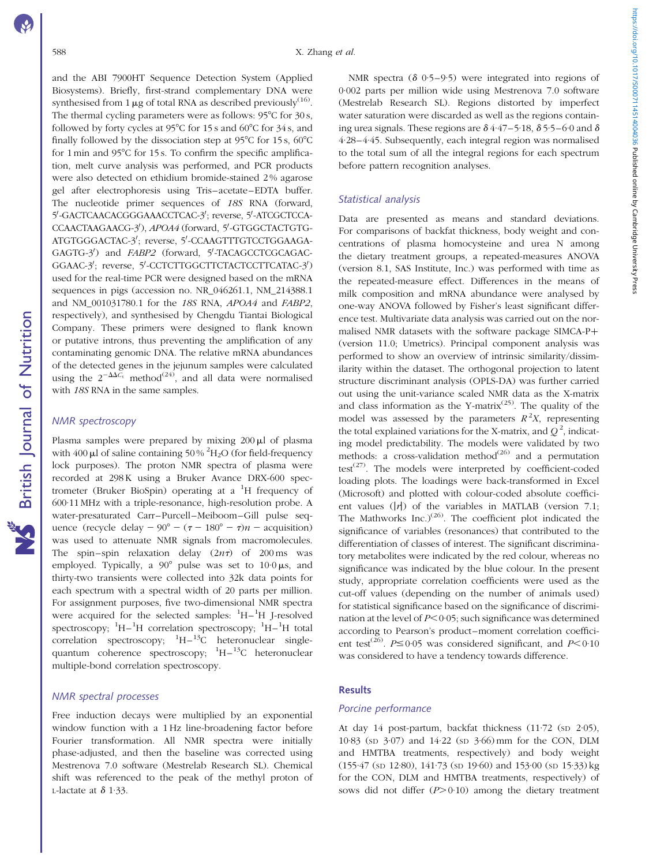https://doi.org/10.1017/S0007114514004036 Published online by Cambridge University Press https://doi.org/10.1017/S0007114514004036 Published online by Cambridge University Press

and the ABI 7900HT Sequence Detection System (Applied Biosystems). Briefly, first-strand complementary DNA were synthesised from 1  $\mu$ g of total RNA as described previously<sup>(16)</sup>. The thermal cycling parameters were as follows:  $95^{\circ}$ C for  $30 s$ , followed by forty cycles at 95 $^{\circ}$ C for 15 s and 60 $^{\circ}$ C for 34 s, and finally followed by the dissociation step at 95 $\degree$ C for 15 s, 60 $\degree$ C for  $1 \text{ min}$  and  $95^{\circ}$ C for  $15 \text{ s}$ . To confirm the specific amplification, melt curve analysis was performed, and PCR products were also detected on ethidium bromide-stained 2 % agarose gel after electrophoresis using Tris–acetate–EDTA buffer. The nucleotide primer sequences of 18S RNA (forward, 5'-GACTCAACACGGGAAACCTCAC-3'; reverse, 5'-ATCGCTCCA-CCAACTAAGAACG-3'), APOA4 (forward, 5'-GTGGCTACTGTG-ATGTGGGACTAC-3'; reverse, 5'-CCAAGTTTGTCCTGGAAGA-GAGTG-3<sup>'</sup>) and FABP2 (forward, 5'-TACAGCCTCGCAGAC-GGAAC-3'; reverse, 5'-CCTCTTGGCTTCTACTCCTTCATAC-3') used for the real-time PCR were designed based on the mRNA sequences in pigs (accession no. NR\_046261.1, NM\_214388.1 and NM\_001031780.1 for the 18S RNA, APOA4 and FABP2, respectively), and synthesised by Chengdu Tiantai Biological Company. These primers were designed to flank known or putative introns, thus preventing the amplification of any contaminating genomic DNA. The relative mRNA abundances of the detected genes in the jejunum samples were calculated using the  $2^{-\Delta\Delta C_t}$  method<sup>(24)</sup>, and all data were normalised with 18S RNA in the same samples.

# NMR spectroscopy

Plasma samples were prepared by mixing  $200 \mu l$  of plasma with  $400 \mu$ l of saline containing 50%  $^{2}$ H<sub>2</sub>O (for field-frequency lock purposes). The proton NMR spectra of plasma were recorded at 298K using a Bruker Avance DRX-600 spectrometer (Bruker BioSpin) operating at a <sup>1</sup>H frequency of 600·11 MHz with a triple-resonance, high-resolution probe. A water-presaturated Carr–Purcell–Meiboom–Gill pulse sequence (recycle delay  $-90^\circ - (\tau - 180^\circ - \tau)n -$  acquisition) was used to attenuate NMR signals from macromolecules. The spin–spin relaxation delay  $(2n\tau)$  of 200 ms was employed. Typically, a  $90^{\circ}$  pulse was set to  $10.0 \,\mu s$ , and thirty-two transients were collected into 32k data points for each spectrum with a spectral width of 20 parts per million. For assignment purposes, five two-dimensional NMR spectra were acquired for the selected samples:  ${}^{1}H-{}^{1}H$  J-resolved spectroscopy; <sup>1</sup>H-<sup>1</sup>H correlation spectroscopy; <sup>1</sup>H-<sup>1</sup>H total correlation spectroscopy;  ${}^{1}H-{}^{13}C$  heteronuclear singlequantum coherence spectroscopy;  $H - {}^{13}C$  heteronuclear multiple-bond correlation spectroscopy.

# NMR spectral processes

Free induction decays were multiplied by an exponential window function with a 1 Hz line-broadening factor before Fourier transformation. All NMR spectra were initially phase-adjusted, and then the baseline was corrected using Mestrenova 7.0 software (Mestrelab Research SL). Chemical shift was referenced to the peak of the methyl proton of L-lactate at  $\delta$  1.33.

NMR spectra ( $\delta$  0.5–9.5) were integrated into regions of 0·002 parts per million wide using Mestrenova 7.0 software (Mestrelab Research SL). Regions distorted by imperfect water saturation were discarded as well as the regions containing urea signals. These regions are  $\delta$  4·47–5·18,  $\delta$  5·5–6·0 and  $\delta$ 4·28–4·45. Subsequently, each integral region was normalised to the total sum of all the integral regions for each spectrum before pattern recognition analyses.

### Statistical analysis

Data are presented as means and standard deviations. For comparisons of backfat thickness, body weight and concentrations of plasma homocysteine and urea N among the dietary treatment groups, a repeated-measures ANOVA (version 8.1, SAS Institute, Inc.) was performed with time as the repeated-measure effect. Differences in the means of milk composition and mRNA abundance were analysed by one-way ANOVA followed by Fisher's least significant difference test. Multivariate data analysis was carried out on the normalised NMR datasets with the software package SIMCA-P+ (version 11.0; Umetrics). Principal component analysis was performed to show an overview of intrinsic similarity/dissimilarity within the dataset. The orthogonal projection to latent structure discriminant analysis (OPLS-DA) was further carried out using the unit-variance scaled NMR data as the X-matrix and class information as the Y-matrix<sup> $(25)$ </sup>. The quality of the model was assessed by the parameters  $R^2X$ , representing the total explained variations for the X-matrix, and  $Q^2$ , indicating model predictability. The models were validated by two methods: a cross-validation method<sup>(26)</sup> and a permutation test<sup> $(27)$ </sup>. The models were interpreted by coefficient-coded loading plots. The loadings were back-transformed in Excel (Microsoft) and plotted with colour-coded absolute coefficient values  $(|r|)$  of the variables in MATLAB (version 7.1; The Mathworks Inc. $(26)$ . The coefficient plot indicated the significance of variables (resonances) that contributed to the differentiation of classes of interest. The significant discriminatory metabolites were indicated by the red colour, whereas no significance was indicated by the blue colour. In the present study, appropriate correlation coefficients were used as the cut-off values (depending on the number of animals used) for statistical significance based on the significance of discrimination at the level of  $P<0.05$ ; such significance was determined according to Pearson's product–moment correlation coefficient test<sup>(26)</sup>.  $P \le 0.05$  was considered significant, and  $P < 0.10$ was considered to have a tendency towards difference.

#### **Results**

#### Porcine performance

At day 14 post-partum, backfat thickness (11.72 (sp 2.05), 10·83 (SD 3·07) and 14·22 (SD 3·66) mm for the CON, DLM and HMTBA treatments, respectively) and body weight (155·47 (SD 12·80), 141·73 (SD 19·60) and 153·00 (SD 15·33) kg for the CON, DLM and HMTBA treatments, respectively) of sows did not differ  $(P>0.10)$  among the dietary treatment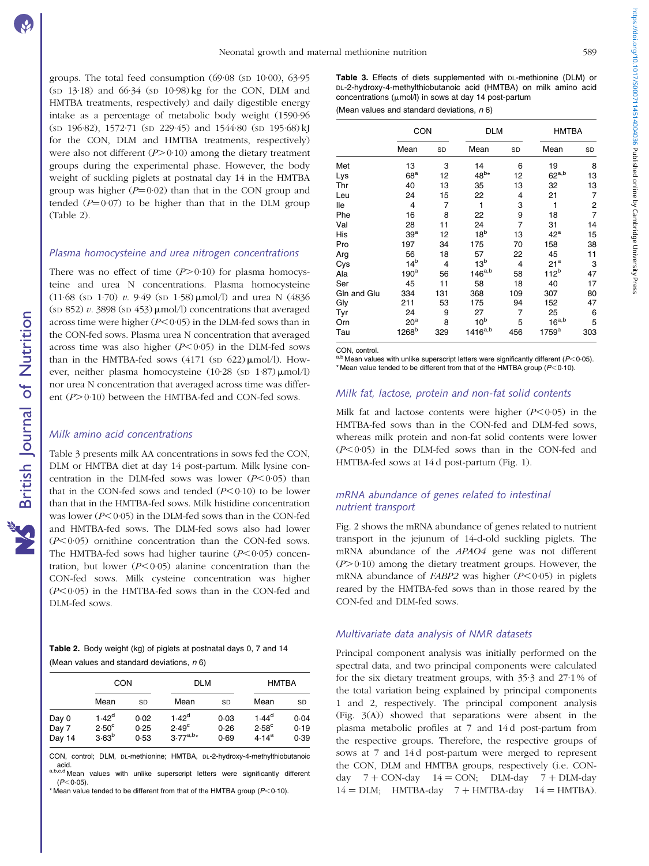groups. The total feed consumption (69·08 (SD 10·00), 63·95 (SD 13·18) and 66·34 (SD 10·98) kg for the CON, DLM and HMTBA treatments, respectively) and daily digestible energy intake as a percentage of metabolic body weight (1590·96 (SD 196·82), 1572·71 (SD 229·45) and 1544·80 (SD 195·68) kJ for the CON, DLM and HMTBA treatments, respectively) were also not different  $(P>0.10)$  among the dietary treatment groups during the experimental phase. However, the body weight of suckling piglets at postnatal day 14 in the HMTBA group was higher  $(P=0.02)$  than that in the CON group and tended  $(P=0.07)$  to be higher than that in the DLM group (Table 2).

#### Plasma homocysteine and urea nitrogen concentrations

There was no effect of time  $(P>0.10)$  for plasma homocysteine and urea N concentrations. Plasma homocysteine (11.68 (sp 1.70) v. 9.49 (sp 1.58)  $\mu$ mol/l) and urea N (4836) (sp 852) v. 3898 (sp 453)  $\mu$ mol/l) concentrations that averaged across time were higher  $(P<0.05)$  in the DLM-fed sows than in the CON-fed sows. Plasma urea N concentration that averaged across time was also higher  $(P<0.05)$  in the DLM-fed sows than in the HMTBA-fed sows  $(4171 \text{ (sp } 622) \mu \text{mol/l})$ . However, neither plasma homocysteine  $(10.28 \text{ (s}D 1.87) \mu \text{mol/l})$ nor urea N concentration that averaged across time was different  $(P>0.10)$  between the HMTBA-fed and CON-fed sows.

# Milk amino acid concentrations

Table 3 presents milk AA concentrations in sows fed the CON, DLM or HMTBA diet at day 14 post-partum. Milk lysine concentration in the DLM-fed sows was lower  $(P<0.05)$  than that in the CON-fed sows and tended  $(P<0.10)$  to be lower than that in the HMTBA-fed sows. Milk histidine concentration was lower ( $P<0.05$ ) in the DLM-fed sows than in the CON-fed and HMTBA-fed sows. The DLM-fed sows also had lower  $(P<0.05)$  ornithine concentration than the CON-fed sows. The HMTBA-fed sows had higher taurine  $(P<0.05)$  concentration, but lower  $(P<0.05)$  alanine concentration than the CON-fed sows. Milk cysteine concentration was higher  $(P<0.05)$  in the HMTBA-fed sows than in the CON-fed and DLM-fed sows.

Table 2. Body weight (kg) of piglets at postnatal days 0, 7 and 14 (Mean values and standard deviations,  $n \, 6$ )

|                          | <b>CON</b>                                               |                      | <b>DLM</b>                                  |                      | <b>HMTBA</b>                                      |                      |
|--------------------------|----------------------------------------------------------|----------------------|---------------------------------------------|----------------------|---------------------------------------------------|----------------------|
|                          | Mean                                                     | SD                   | Mean                                        | SD                   | Mean                                              | SD                   |
| Day 0<br>Day 7<br>Day 14 | 1.42 <sup>d</sup><br>$2.50^{\circ}$<br>3.63 <sup>b</sup> | 0.02<br>0.25<br>0.53 | $1.42^d$<br>$2.49^{\circ}$<br>$3.77^{a,b*}$ | 0.03<br>0.26<br>0.69 | $1.44^{d}$<br>$2.58^{\circ}$<br>4.14 <sup>a</sup> | 0.04<br>0.19<br>0.39 |

CON, control; DLM, DL-methionine; HMTBA, DL-2-hydroxy-4-methylthiobutanoic<br>acid.<br>a,b,e,d Mean values with unlike superscript letters were significantly different

values with unlike superscript letters were significantly different  $(P<0.05)$ 

\* Mean value tended to be different from that of the HMTBA group ( $P$ < 0.10).

Table 3. Effects of diets supplemented with DL-methionine (DLM) or DL-2-hydroxy-4-methylthiobutanoic acid (HMTBA) on milk amino acid concentrations ( $\mu$ mol/l) in sows at day 14 post-partum

(Mean values and standard deviations,  $n$  6)

|             | CON               |     | <b>DLM</b>      |                |                   | <b>HMTBA</b>  |  |
|-------------|-------------------|-----|-----------------|----------------|-------------------|---------------|--|
|             | Mean              | SD  | Mean            | SD             | Mean              | SD            |  |
| Met         | 13                | 3   | 14              | 6              | 19                | 8             |  |
| Lys         | 68 <sup>a</sup>   | 12  | $48^{b*}$       | 12             | $62^{a,b}$        | 13            |  |
| Thr         | 40                | 13  | 35              | 13             | 32                | 13            |  |
| Leu         | 24                | 15  | 22              | 4              | 21                | 7             |  |
| lle         | 4                 | 7   | 1               | 3              | 1                 |               |  |
| Phe         | 16                | 8   | 22              | 9              | 18                | $\frac{2}{7}$ |  |
| Val         | 28                | 11  | 24              | 7              | 31                | 14            |  |
| His         | 39 <sup>a</sup>   | 12  | 18 <sup>b</sup> | 13             | $42^{\mathrm{a}}$ | 15            |  |
| Pro         | 197               | 34  | 175             | 70             | 158               | 38            |  |
| Arg         | 56                | 18  | 57              | 22             | 45                | 11            |  |
| Cys         | 14 <sup>b</sup>   | 4   | 13 <sup>b</sup> | $\overline{4}$ | 21 <sup>a</sup>   | 3             |  |
| Ala         | 190 <sup>a</sup>  | 56  | $146^{a,b}$     | 58             | 112 <sup>b</sup>  | 47            |  |
| Ser         | 45                | 11  | 58              | 18             | 40                | 17            |  |
| Gln and Glu | 334               | 131 | 368             | 109            | 307               | 80            |  |
| Gly         | 211               | 53  | 175             | 94             | 152               | 47            |  |
| Tyr         | 24                | 9   | 27              | 7              | 25                | 6             |  |
| Orn         | 20 <sup>a</sup>   | 8   | 10 <sup>b</sup> | 5              | $16^{a,b}$        | 5             |  |
| Tau         | 1268 <sup>b</sup> | 329 | $1416^{a,b}$    | 456            | $1759^a$          | 303           |  |

CON, control.

 $a,b$  Mean values with unlike superscript letters were significantly different (P<0·05). \* Mean value tended to be different from that of the HMTBA group ( $P < 0.10$ ).

## Milk fat, lactose, protein and non-fat solid contents

Milk fat and lactose contents were higher  $(P<0.05)$  in the HMTBA-fed sows than in the CON-fed and DLM-fed sows, whereas milk protein and non-fat solid contents were lower  $(P<0.05)$  in the DLM-fed sows than in the CON-fed and HMTBA-fed sows at 14 d post-partum [\(Fig. 1\)](#page-5-0).

# mRNA abundance of genes related to intestinal nutrient transport

[Fig. 2](#page-5-0) shows the mRNA abundance of genes related to nutrient transport in the jejunum of 14-d-old suckling piglets. The mRNA abundance of the APAO4 gene was not different  $(P>0.10)$  among the dietary treatment groups. However, the mRNA abundance of  $FABP2$  was higher ( $P<0.05$ ) in piglets reared by the HMTBA-fed sows than in those reared by the CON-fed and DLM-fed sows.

# Multivariate data analysis of NMR datasets

Principal component analysis was initially performed on the spectral data, and two principal components were calculated for the six dietary treatment groups, with 35·3 and 27·1 % of the total variation being explained by principal components 1 and 2, respectively. The principal component analysis ([Fig. 3\(A\)\)](#page-6-0) showed that separations were absent in the plasma metabolic profiles at 7 and 14 d post-partum from the respective groups. Therefore, the respective groups of sows at 7 and 14 d post-partum were merged to represent the CON, DLM and HMTBA groups, respectively (i.e. CONday  $7 + \text{CON-day } 14 = \text{CON}$ ; DLM-day  $7 + \text{DLM-day}$  $14 = DLM$ ; HMTBA-day  $7 + HMTBA$ -day  $14 = HMTBA$ ).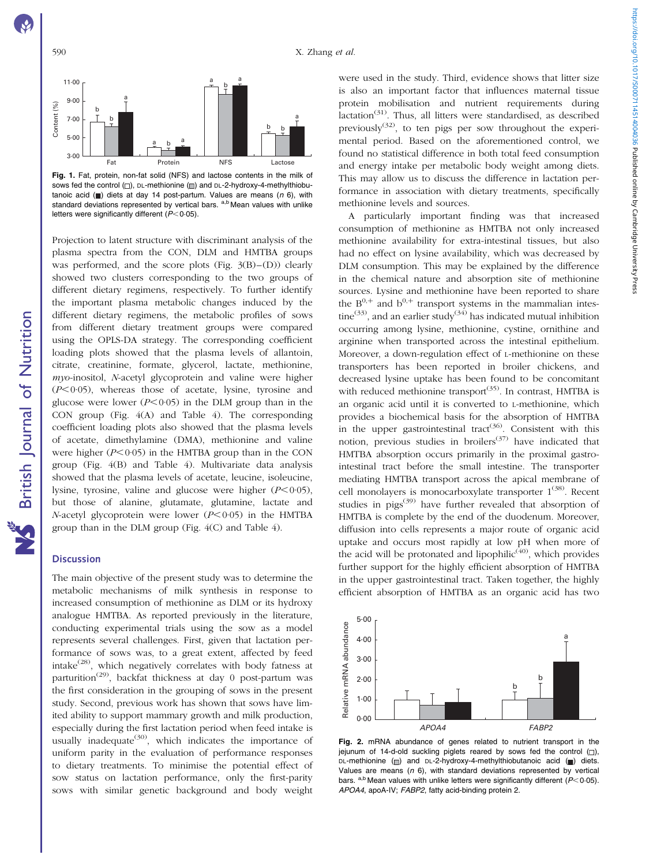<span id="page-5-0"></span>

Fig. 1. Fat, protein, non-fat solid (NFS) and lactose contents in the milk of sows fed the control  $\Box$ ), DL-methionine  $\Box$ ) and DL-2-hydroxy-4-methylthiobutanoic acid  $\Box$ ) diets at day 14 post-partum. Values are means (n 6), with standard deviations represented by vertical bars. a,b Mean values with unlike letters were significantly different  $(P<0.05)$ .

Projection to latent structure with discriminant analysis of the plasma spectra from the CON, DLM and HMTBA groups was performed, and the score plots ([Fig. 3\(B\)–\(D\)](#page-6-0)) clearly showed two clusters corresponding to the two groups of different dietary regimens, respectively. To further identify the important plasma metabolic changes induced by the different dietary regimens, the metabolic profiles of sows from different dietary treatment groups were compared using the OPLS-DA strategy. The corresponding coefficient loading plots showed that the plasma levels of allantoin, citrate, creatinine, formate, glycerol, lactate, methionine,  $m\gamma$ o-inositol, N-acetyl glycoprotein and valine were higher  $(P<0.05)$ , whereas those of acetate, lysine, tyrosine and glucose were lower  $(P<0.05)$  in the DLM group than in the CON group ([Fig. 4\(A\)](#page-7-0) and [Table 4](#page-8-0)). The corresponding coefficient loading plots also showed that the plasma levels of acetate, dimethylamine (DMA), methionine and valine were higher  $(P<0.05)$  in the HMTBA group than in the CON group ([Fig. 4\(B\)](#page-7-0) and [Table 4](#page-8-0)). Multivariate data analysis showed that the plasma levels of acetate, leucine, isoleucine, lysine, tyrosine, valine and glucose were higher  $(P<0.05)$ , but those of alanine, glutamate, glutamine, lactate and N-acetyl glycoprotein were lower  $(P<0.05)$  in the HMTBA group than in the DLM group [\(Fig. 4\(C\)](#page-7-0) and [Table 4\)](#page-8-0).

### **Discussion**

The main objective of the present study was to determine the metabolic mechanisms of milk synthesis in response to increased consumption of methionine as DLM or its hydroxy analogue HMTBA. As reported previously in the literature, conducting experimental trials using the sow as a model represents several challenges. First, given that lactation performance of sows was, to a great extent, affected by feed intake<sup> $(28)$ </sup>, which negatively correlates with body fatness at parturition<sup>(29)</sup>, backfat thickness at day 0 post-partum was the first consideration in the grouping of sows in the present study. Second, previous work has shown that sows have limited ability to support mammary growth and milk production, especially during the first lactation period when feed intake is usually inadequate<sup>(30)</sup>, which indicates the importance of uniform parity in the evaluation of performance responses to dietary treatments. To minimise the potential effect of sow status on lactation performance, only the first-parity sows with similar genetic background and body weight

were used in the study. Third, evidence shows that litter size is also an important factor that influences maternal tissue protein mobilisation and nutrient requirements during  $factor^{(31)}$ . Thus, all litters were standardised, as described previously $(32)$ , to ten pigs per sow throughout the experimental period. Based on the aforementioned control, we found no statistical difference in both total feed consumption and energy intake per metabolic body weight among diets. This may allow us to discuss the difference in lactation performance in association with dietary treatments, specifically methionine levels and sources.

A particularly important finding was that increased consumption of methionine as HMTBA not only increased methionine availability for extra-intestinal tissues, but also had no effect on lysine availability, which was decreased by DLM consumption. This may be explained by the difference in the chemical nature and absorption site of methionine sources. Lysine and methionine have been reported to share the  $B^{0,+}$  and  $b^{0,+}$  transport systems in the mammalian intestine<sup>(33)</sup>, and an earlier study<sup>(34)</sup> has indicated mutual inhibition occurring among lysine, methionine, cystine, ornithine and arginine when transported across the intestinal epithelium. Moreover, a down-regulation effect of L-methionine on these transporters has been reported in broiler chickens, and decreased lysine uptake has been found to be concomitant with reduced methionine transport<sup>(35)</sup>. In contrast, HMTBA is an organic acid until it is converted to L-methionine, which provides a biochemical basis for the absorption of HMTBA in the upper gastrointestinal tract<sup>(36)</sup>. Consistent with this notion, previous studies in broilers<sup> $(37)$ </sup> have indicated that HMTBA absorption occurs primarily in the proximal gastrointestinal tract before the small intestine. The transporter mediating HMTBA transport across the apical membrane of cell monolayers is monocarboxylate transporter  $1^{(38)}$ . Recent studies in pigs<sup>(39)</sup> have further revealed that absorption of HMTBA is complete by the end of the duodenum. Moreover, diffusion into cells represents a major route of organic acid uptake and occurs most rapidly at low pH when more of the acid will be protonated and lipophilic<sup> $(40)$ </sup>, which provides further support for the highly efficient absorption of HMTBA in the upper gastrointestinal tract. Taken together, the highly efficient absorption of HMTBA as an organic acid has two



Fig. 2. mRNA abundance of genes related to nutrient transport in the iejunum of 14-d-old suckling piglets reared by sows fed the control  $(\Box)$ . DL-methionine ( ) and DL-2-hydroxy-4-methylthiobutanoic acid ( ) diets. Values are means ( $n$  6), with standard deviations represented by vertical bars. a,b Mean values with unlike letters were significantly different ( $P$ < 0.05). APOA4, apoA-IV; FABP2, fatty acid-binding protein 2.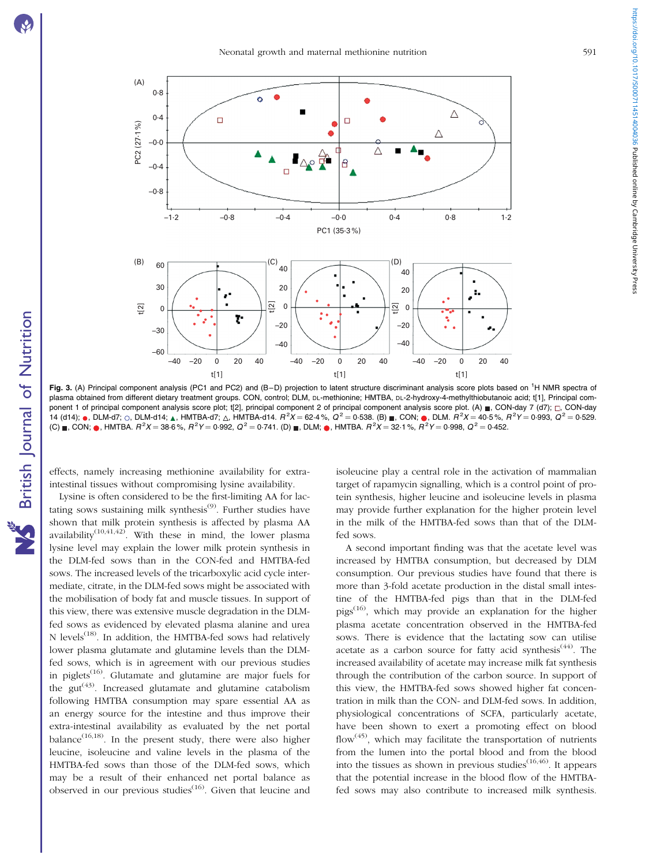British Journal of Nutrition

**NS** British Journal of Nutrition



<span id="page-6-0"></span>

Fig. 3. (A) Principal component analysis (PC1 and PC2) and (B-D) projection to latent structure discriminant analysis score plots based on <sup>1</sup>H NMR spectra of plasma obtained from different dietary treatment groups. CON, control; DLM, DL-methionine; HMTBA, DL-2-hydroxy-4-methylthiobutanoic acid; t[1], Principal component 1 of principal component analysis score plot; t[2], principal component 2 of principal component analysis score plot. (A) , CON-day 7 (d7);  $\Box$ , CON-day 14 (d14); ●, DLM-d7; ○, DLM-d14; ▲, HMTBA-d7; ∆, HMTBA-d14.  $R^2X = 62.4\%$ ,  $Q^2 = 0.538$ . (B) ■, CON; ●, DLM.  $R^2X = 40.5\%$ ,  $R^2Y = 0.993$ ,  $Q^2 = 0.529$ . (C) ∎, CON; ●, HMTBA.  $R^2X = 38{\cdot}6\%, R^2Y = 0{\cdot}992, Q^2 = 0{\cdot}741.$  (D) ∎, DLM; ●, HMTBA.  $R^2X = 32{\cdot}1\%, R^2Y = 0{\cdot}998, Q^2 = 0{\cdot}452.$ 

effects, namely increasing methionine availability for extraintestinal tissues without compromising lysine availability.

Lysine is often considered to be the first-limiting AA for lactating sows sustaining milk synthesis $(9)$ . Further studies have shown that milk protein synthesis is affected by plasma AA availability<sup>(10,41,42)</sup>. With these in mind, the lower plasma lysine level may explain the lower milk protein synthesis in the DLM-fed sows than in the CON-fed and HMTBA-fed sows. The increased levels of the tricarboxylic acid cycle intermediate, citrate, in the DLM-fed sows might be associated with the mobilisation of body fat and muscle tissues. In support of this view, there was extensive muscle degradation in the DLMfed sows as evidenced by elevated plasma alanine and urea N levels<sup> $(18)$ </sup>. In addition, the HMTBA-fed sows had relatively lower plasma glutamate and glutamine levels than the DLMfed sows, which is in agreement with our previous studies in piglets<sup> $(16)$ </sup>. Glutamate and glutamine are major fuels for the  $gut^{(43)}$ . Increased glutamate and glutamine catabolism following HMTBA consumption may spare essential AA as an energy source for the intestine and thus improve their extra-intestinal availability as evaluated by the net portal balance<sup>(16,18)</sup>. In the present study, there were also higher leucine, isoleucine and valine levels in the plasma of the HMTBA-fed sows than those of the DLM-fed sows, which may be a result of their enhanced net portal balance as observed in our previous studies<sup> $(16)$ </sup>. Given that leucine and

isoleucine play a central role in the activation of mammalian target of rapamycin signalling, which is a control point of protein synthesis, higher leucine and isoleucine levels in plasma may provide further explanation for the higher protein level in the milk of the HMTBA-fed sows than that of the DLMfed sows.

A second important finding was that the acetate level was increased by HMTBA consumption, but decreased by DLM consumption. Our previous studies have found that there is more than 3-fold acetate production in the distal small intestine of the HMTBA-fed pigs than that in the DLM-fed  $pigs<sup>(16)</sup>$ , which may provide an explanation for the higher plasma acetate concentration observed in the HMTBA-fed sows. There is evidence that the lactating sow can utilise acetate as a carbon source for fatty acid synthesis<sup> $(44)$ </sup>. The increased availability of acetate may increase milk fat synthesis through the contribution of the carbon source. In support of this view, the HMTBA-fed sows showed higher fat concentration in milk than the CON- and DLM-fed sows. In addition, physiological concentrations of SCFA, particularly acetate, have been shown to exert a promoting effect on blood flow<sup>(45)</sup>, which may facilitate the transportation of nutrients from the lumen into the portal blood and from the blood into the tissues as shown in previous studies<sup> $(16,46)$ </sup>. It appears that the potential increase in the blood flow of the HMTBAfed sows may also contribute to increased milk synthesis.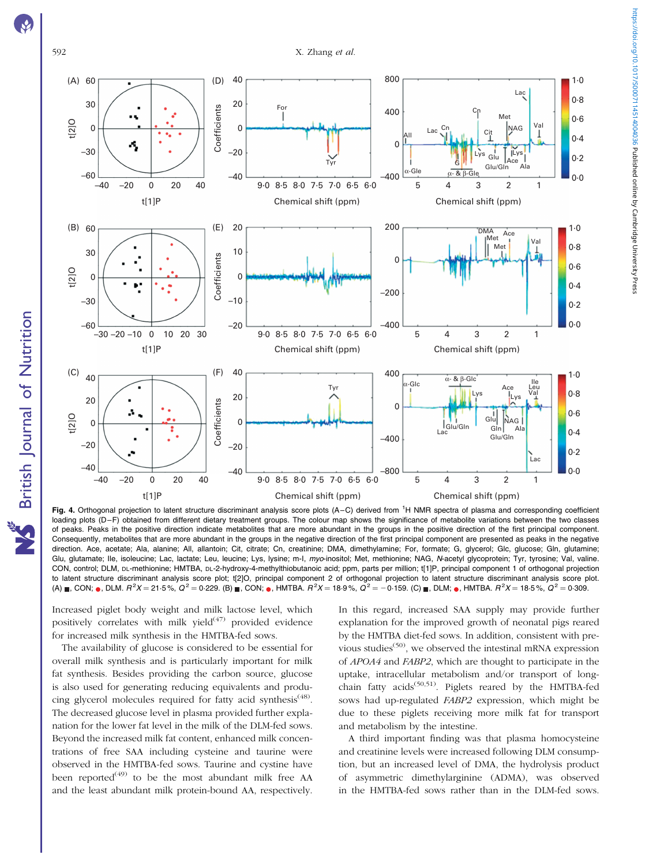<span id="page-7-0"></span>

British Journal of Nutrition

NS British Journal of Nutrition



Fig. 4. Orthogonal projection to latent structure discriminant analysis score plots (A-C) derived from <sup>1</sup>H NMR spectra of plasma and corresponding coefficient loading plots (D–F) obtained from different dietary treatment groups. The colour map shows the significance of metabolite variations between the two classes of peaks. Peaks in the positive direction indicate metabolites that are more abundant in the groups in the positive direction of the first principal component. Consequently, metabolites that are more abundant in the groups in the negative direction of the first principal component are presented as peaks in the negative direction. Ace, acetate; Ala, alanine; All, allantoin; Cit, citrate; Cn, creatinine; DMA, dimethylamine; For, formate; G, glycerol; Glc, glucose; Gln, glutamine; Glu, glutamate; Ile, isoleucine; Lac, lactate; Leu, leucine; Lys, lysine; m-I, myo-inositol; Met, methionine; NAG, N-acetyl glycoprotein; Tyr, tyrosine; Val, valine. CON, control; DLM, DL-methionine; HMTBA, DL-2-hydroxy-4-methylthiobutanoic acid; ppm, parts per million; t[1]P, principal component 1 of orthogonal projection to latent structure discriminant analysis score plot; t[2]O, principal component 2 of orthogonal projection to latent structure discriminant analysis score plot. (A)  $_{\blacksquare},$  CON;  $_{\blacksquare},$  DLM.  $R^2X$  = 21·5 %,  $Q^2$  = 0·229. (B)  $_{\blacksquare},$  CON;  $_{\blacksquare},$  HMTBA.  $R^2X$  = 15·9 %,  $Q^2$  = 0·310. (C)  $_{\blacksquare},$  DLM;  $_{\blacksquare},$  DLM;  $_{\blacksquare},$  HMTBA.  $R^2X$  = 18·5 %,  $Q^2$  = 0·309.

Increased piglet body weight and milk lactose level, which positively correlates with milk yield $(47)$  provided evidence for increased milk synthesis in the HMTBA-fed sows.

The availability of glucose is considered to be essential for overall milk synthesis and is particularly important for milk fat synthesis. Besides providing the carbon source, glucose is also used for generating reducing equivalents and producing glycerol molecules required for fatty acid synthesis<sup>(48)</sup>. The decreased glucose level in plasma provided further explanation for the lower fat level in the milk of the DLM-fed sows. Beyond the increased milk fat content, enhanced milk concentrations of free SAA including cysteine and taurine were observed in the HMTBA-fed sows. Taurine and cystine have been reported<sup> $(49)$ </sup> to be the most abundant milk free AA and the least abundant milk protein-bound AA, respectively.

In this regard, increased SAA supply may provide further explanation for the improved growth of neonatal pigs reared by the HMTBA diet-fed sows. In addition, consistent with previous studies<sup> $(50)$ </sup>, we observed the intestinal mRNA expression of APOA4 and FABP2, which are thought to participate in the uptake, intracellular metabolism and/or transport of longchain fatty acids<sup>(50,51)</sup>. Piglets reared by the HMTBA-fed sows had up-regulated FABP2 expression, which might be due to these piglets receiving more milk fat for transport and metabolism by the intestine.

A third important finding was that plasma homocysteine and creatinine levels were increased following DLM consumption, but an increased level of DMA, the hydrolysis product of asymmetric dimethylarginine (ADMA), was observed in the HMTBA-fed sows rather than in the DLM-fed sows.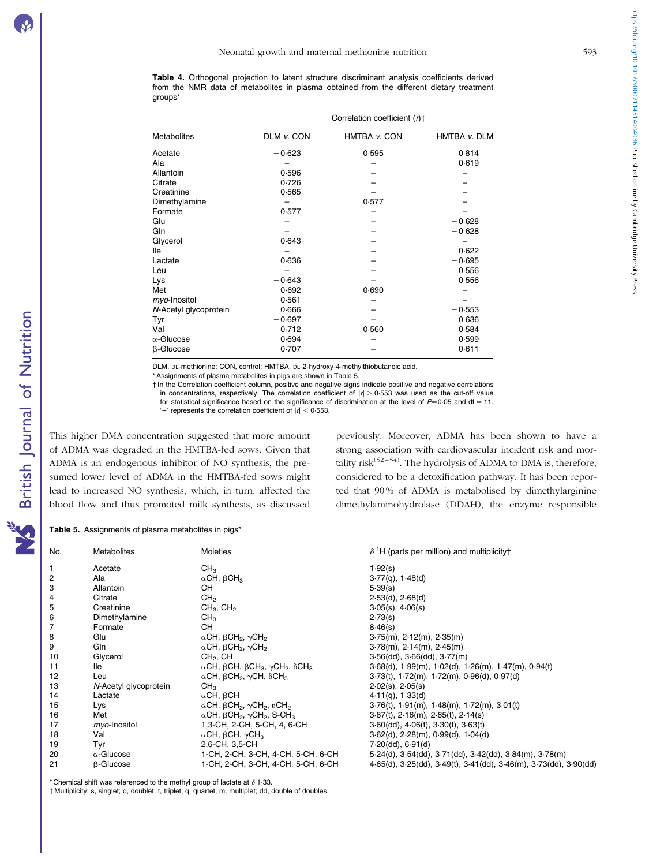<span id="page-8-0"></span>Table 4. Orthogonal projection to latent structure discriminant analysis coefficients derived from the NMR data of metabolites in plasma obtained from the different dietary treatment groups\*

|                       |            | Correlation coefficient (r)+ |              |  |  |
|-----------------------|------------|------------------------------|--------------|--|--|
| <b>Metabolites</b>    | DLM v. CON | HMTBA v. CON                 | HMTBA v. DLM |  |  |
| Acetate               | $-0.623$   | 0.595                        | 0.814        |  |  |
| Ala                   |            |                              | $-0.619$     |  |  |
| Allantoin             | 0.596      |                              |              |  |  |
| Citrate               | 0.726      |                              |              |  |  |
| Creatinine            | 0.565      |                              |              |  |  |
| Dimethylamine         |            | 0.577                        |              |  |  |
| Formate               | 0.577      |                              |              |  |  |
| Glu                   |            |                              | $-0.628$     |  |  |
| Gln                   |            |                              | $-0.628$     |  |  |
| Glycerol              | 0.643      |                              |              |  |  |
| lle                   |            |                              | 0.622        |  |  |
| Lactate               | 0.636      |                              | $-0.695$     |  |  |
| Leu                   |            |                              | 0.556        |  |  |
| Lys                   | $-0.643$   |                              | 0.556        |  |  |
| Met                   | 0.692      | 0.690                        |              |  |  |
| myo-Inositol          | 0.561      |                              |              |  |  |
| N-Acetyl glycoprotein | 0.666      |                              | $-0.553$     |  |  |
| Tyr                   | $-0.697$   |                              | 0.636        |  |  |
| Val                   | 0.712      | 0.560                        | 0.584        |  |  |
| $\alpha$ -Glucose     | $-0.694$   |                              | 0.599        |  |  |
| β-Glucose             | $-0.707$   |                              | 0.611        |  |  |

DLM, DL-methionine; CON, control; HMTBA, DL-2-hydroxy-4-methylthiobutanoic acid.

\* Assignments of plasma metabolites in pigs are shown in Table 5.

† In the Correlation coefficient column, positive and negative signs indicate positive and negative correlations in concentrations, respectively. The correlation coefficient of  $|t| > 0.553$  was used as the cut-off value

for statistical significance based on the significance of discrimination at the level of  $P=0.05$  and df = 11.

'–' represents the correlation coefficient of  $|t|$  < 0.553.

This higher DMA concentration suggested that more amount of ADMA was degraded in the HMTBA-fed sows. Given that ADMA is an endogenous inhibitor of NO synthesis, the presumed lower level of ADMA in the HMTBA-fed sows might lead to increased NO synthesis, which, in turn, affected the blood flow and thus promoted milk synthesis, as discussed previously. Moreover, ADMA has been shown to have a strong association with cardiovascular incident risk and mortality risk<sup> $(52–54)$ </sup>. The hydrolysis of ADMA to DMA is, therefore, considered to be a detoxification pathway. It has been reported that 90 % of ADMA is metabolised by dimethylarginine dimethylaminohydrolase (DDAH), the enzyme responsible

Table 5. Assignments of plasma metabolites in pigs\*

| No. | Metabolites           | <b>Moieties</b>                                                                                        | $\delta$ <sup>1</sup> H (parts per million) and multiplicity†            |
|-----|-----------------------|--------------------------------------------------------------------------------------------------------|--------------------------------------------------------------------------|
|     | Acetate               | CH <sub>3</sub>                                                                                        | 1.92(s)                                                                  |
| 2   | Ala                   | $\alpha$ CH, $\beta$ CH <sub>3</sub>                                                                   | $3.77(q)$ , 1.48(d)                                                      |
| 3   | Allantoin             | <b>CH</b>                                                                                              | 5.39(s)                                                                  |
| 4   | Citrate               | CH <sub>2</sub>                                                                                        | 2.53(d), 2.68(d)                                                         |
| 5   | Creatinine            | $CH3$ , $CH2$                                                                                          | $3.05(s)$ , $4.06(s)$                                                    |
| 6   | Dimethylamine         | CH <sub>3</sub>                                                                                        | 2.73(s)                                                                  |
| 7   | Formate               | CH.                                                                                                    | 8.46(s)                                                                  |
| 8   | Glu                   | $\alpha$ CH, $\beta$ CH <sub>2</sub> , $\gamma$ CH <sub>2</sub>                                        | $3.75(m)$ , $2.12(m)$ , $2.35(m)$                                        |
| 9   | Gln                   | $\alpha$ CH, $\beta$ CH <sub>2</sub> , $\gamma$ CH <sub>2</sub>                                        | $3.78(m)$ , $2.14(m)$ , $2.45(m)$                                        |
| 10  | Glycerol              | $CH2$ , CH                                                                                             | $3.56$ (dd), $3.66$ (dd), $3.77$ (m)                                     |
| 11  | lle                   | $\alpha$ CH, $\beta$ CH, $\beta$ CH <sub>3</sub> , $\gamma$ CH <sub>2</sub> , $\delta$ CH <sub>3</sub> | $3.68(d)$ , $1.99(m)$ , $1.02(d)$ , $1.26(m)$ , $1.47(m)$ , $0.94(t)$    |
| 12  | Leu                   | $\alpha$ CH, $\beta$ CH <sub>2</sub> , $\gamma$ CH, $\delta$ CH <sub>3</sub>                           | $3.73(t)$ , $1.72(m)$ , $1.72(m)$ , $0.96(d)$ , $0.97(d)$                |
| 13  | N-Acetyl glycoprotein | CH <sub>3</sub>                                                                                        | $2.02(s)$ , $2.05(s)$                                                    |
| 14  | Lactate               | $\alpha$ CH, $\beta$ CH                                                                                | $4.11(q)$ , $1.33(d)$                                                    |
| 15  | Lys                   | $\alpha$ CH, $\beta$ CH <sub>2</sub> , $\gamma$ CH <sub>2</sub> , $\epsilon$ CH <sub>2</sub>           | $3.76(t)$ , $1.91(m)$ , $1.48(m)$ , $1.72(m)$ , $3.01(t)$                |
| 16  | Met                   | $\alpha$ CH, $\beta$ CH <sub>2</sub> , $\gamma$ CH <sub>2</sub> , S-CH <sub>3</sub>                    | $3.87(t)$ , $2.16(m)$ , $2.65(t)$ , $2.14(s)$                            |
| 17  | myo-Inositol          | 1,3-CH, 2-CH, 5-CH, 4, 6-CH                                                                            | $3.60$ (dd), $4.06$ (t), $3.30$ (t), $3.63$ (t)                          |
| 18  | Val                   | $\alpha$ CH, $\beta$ CH, $\gamma$ CH <sub>3</sub>                                                      | $3.62(d)$ , $2.28(m)$ , $0.99(d)$ , $1.04(d)$                            |
| 19  | Tyr                   | 2,6-CH, 3,5-CH                                                                                         | 7.20(dd), 6.91(d)                                                        |
| 20  | $\alpha$ -Glucose     | 1-CH, 2-CH, 3-CH, 4-CH, 5-CH, 6-CH                                                                     | $5.24(d)$ , $3.54(dd)$ , $3.71(dd)$ , $3.42(dd)$ , $3.84(m)$ , $3.78(m)$ |
| 21  | <b>B-Glucose</b>      | 1-CH, 2-CH, 3-CH, 4-CH, 5-CH, 6-CH                                                                     | 4.65(d), 3.25(dd), 3.49(t), 3.41(dd), 3.46(m), 3.73(dd), 3.90(dd)        |

\* Chemical shift was referenced to the methyl group of lactate at  $\delta$  1.33.

† Multiplicity: s, singlet; d, doublet; t, triplet; q, quartet; m, multiplet; dd, double of doubles.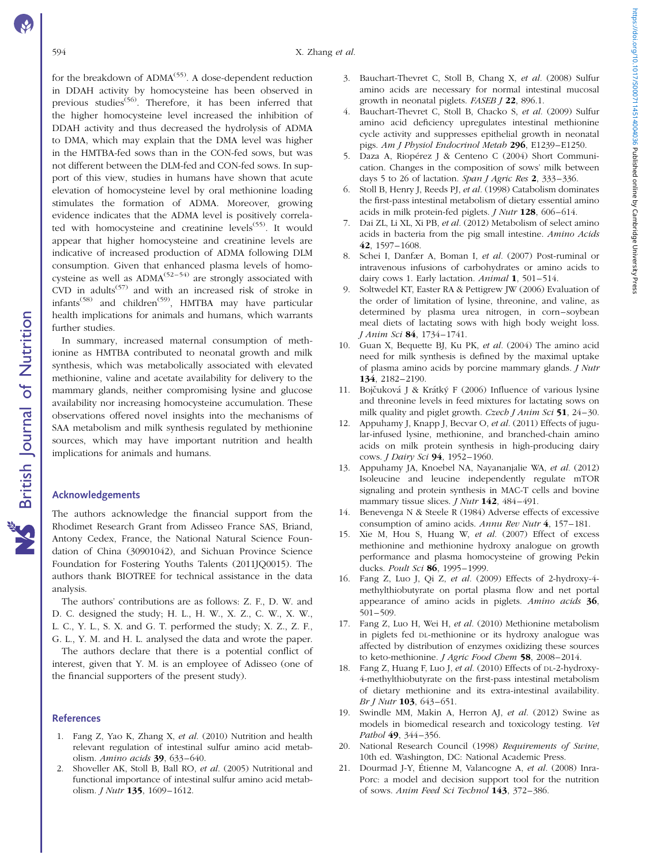#### 594 X. Zhang et al.

for the breakdown of  $\text{ADMA}^{(55)}$ . A dose-dependent reduction in DDAH activity by homocysteine has been observed in previous studies<sup>(56)</sup>. Therefore, it has been inferred that the higher homocysteine level increased the inhibition of DDAH activity and thus decreased the hydrolysis of ADMA to DMA, which may explain that the DMA level was higher in the HMTBA-fed sows than in the CON-fed sows, but was not different between the DLM-fed and CON-fed sows. In support of this view, studies in humans have shown that acute elevation of homocysteine level by oral methionine loading stimulates the formation of ADMA. Moreover, growing evidence indicates that the ADMA level is positively correlated with homocysteine and creatinine levels<sup>(55)</sup>. It would appear that higher homocysteine and creatinine levels are indicative of increased production of ADMA following DLM consumption. Given that enhanced plasma levels of homocysteine as well as  $\text{ADMA}^{(52-54)}$  are strongly associated with CVD in adults<sup>(57)</sup> and with an increased risk of stroke in infants<sup> $(58)$ </sup> and children<sup> $(59)$ </sup>, HMTBA may have particular health implications for animals and humans, which warrants further studies.

In summary, increased maternal consumption of methionine as HMTBA contributed to neonatal growth and milk synthesis, which was metabolically associated with elevated methionine, valine and acetate availability for delivery to the mammary glands, neither compromising lysine and glucose availability nor increasing homocysteine accumulation. These observations offered novel insights into the mechanisms of SAA metabolism and milk synthesis regulated by methionine sources, which may have important nutrition and health implications for animals and humans.

### Acknowledgements

The authors acknowledge the financial support from the Rhodimet Research Grant from Adisseo France SAS, Briand, Antony Cedex, France, the National Natural Science Foundation of China (30901042), and Sichuan Province Science Foundation for Fostering Youths Talents (2011JQ0015). The authors thank BIOTREE for technical assistance in the data analysis.

The authors' contributions are as follows: Z. F., D. W. and D. C. designed the study; H. L., H. W., X. Z., C. W., X. W., L. C., Y. L., S. X. and G. T. performed the study; X. Z., Z. F., G. L., Y. M. and H. L. analysed the data and wrote the paper.

The authors declare that there is a potential conflict of interest, given that Y. M. is an employee of Adisseo (one of the financial supporters of the present study).

#### References

- 1. Fang Z, Yao K, Zhang X, et al. (2010) Nutrition and health relevant regulation of intestinal sulfur amino acid metabolism. Amino acids 39, 633–640.
- 2. Shoveller AK, Stoll B, Ball RO, et al. (2005) Nutritional and functional importance of intestinal sulfur amino acid metabolism. *J Nutr* 135, 1609-1612.
- 3. Bauchart-Thevret C, Stoll B, Chang X, et al. (2008) Sulfur amino acids are necessary for normal intestinal mucosal growth in neonatal piglets. FASEB J 22, 896.1.
- 4. Bauchart-Thevret C, Stoll B, Chacko S, et al. (2009) Sulfur amino acid deficiency upregulates intestinal methionine cycle activity and suppresses epithelial growth in neonatal pigs. Am J Physiol Endocrinol Metab 296, E1239–E1250.
- 5. Daza A, Riopérez J & Centeno C (2004) Short Communication. Changes in the composition of sows' milk between days 5 to 26 of lactation. Span J Agric Res 2, 333-336.
- 6. Stoll B, Henry J, Reeds PJ, et al. (1998) Catabolism dominates the first-pass intestinal metabolism of dietary essential amino acids in milk protein-fed piglets. J Nutr 128, 606–614.
- 7. Dai ZL, Li XL, Xi PB, et al. (2012) Metabolism of select amino acids in bacteria from the pig small intestine. Amino Acids 42, 1597–1608.
- 8. Schei I, Danfær A, Boman I, et al. (2007) Post-ruminal or intravenous infusions of carbohydrates or amino acids to dairy cows 1. Early lactation. Animal 1, 501-514.
- 9. Soltwedel KT, Easter RA & Pettigrew JW (2006) Evaluation of the order of limitation of lysine, threonine, and valine, as determined by plasma urea nitrogen, in corn–soybean meal diets of lactating sows with high body weight loss. J Anim Sci 84, 1734–1741.
- 10. Guan X, Bequette BJ, Ku PK, et al. (2004) The amino acid need for milk synthesis is defined by the maximal uptake of plasma amino acids by porcine mammary glands. J Nutr 134, 2182–2190.
- 11. Bojčuková J & Krátký F (2006) Influence of various lysine and threonine levels in feed mixtures for lactating sows on milk quality and piglet growth. Czech J Anim Sci 51, 24-30.
- 12. Appuhamy J, Knapp J, Becvar O, et al. (2011) Effects of jugular-infused lysine, methionine, and branched-chain amino acids on milk protein synthesis in high-producing dairy cows. J Dairy Sci 94, 1952–1960.
- 13. Appuhamy JA, Knoebel NA, Nayananjalie WA, et al. (2012) Isoleucine and leucine independently regulate mTOR signaling and protein synthesis in MAC-T cells and bovine mammary tissue slices. *J Nutr* **142**, 484-491.
- 14. Benevenga N & Steele R (1984) Adverse effects of excessive consumption of amino acids. Annu Rev Nutr 4, 157–181.
- 15. Xie M, Hou S, Huang W, et al. (2007) Effect of excess methionine and methionine hydroxy analogue on growth performance and plasma homocysteine of growing Pekin ducks. Poult Sci 86, 1995–1999.
- 16. Fang Z, Luo J, Qi Z, et al. (2009) Effects of 2-hydroxy-4 methylthiobutyrate on portal plasma flow and net portal appearance of amino acids in piglets. Amino acids 36, 501–509.
- 17. Fang Z, Luo H, Wei H, et al. (2010) Methionine metabolism in piglets fed DL-methionine or its hydroxy analogue was affected by distribution of enzymes oxidizing these sources to keto-methionine. *J Agric Food Chem* 58, 2008–2014.
- 18. Fang Z, Huang F, Luo J, et al. (2010) Effects of DL-2-hydroxy-4-methylthiobutyrate on the first-pass intestinal metabolism of dietary methionine and its extra-intestinal availability. Br J Nutr 103, 643–651.
- 19. Swindle MM, Makin A, Herron AJ, et al. (2012) Swine as models in biomedical research and toxicology testing. Vet Pathol 49, 344–356.
- 20. National Research Council (1998) Requirements of Swine, 10th ed. Washington, DC: National Academic Press.
- 21. Dourmad J-Y, Étienne M, Valancogne A, et al. (2008) Inra-Porc: a model and decision support tool for the nutrition of sows. Anim Feed Sci Technol 143, 372–386.